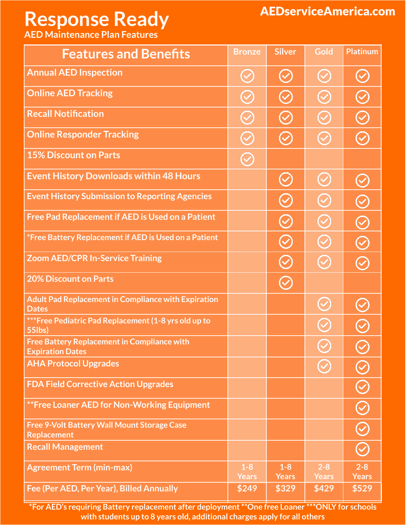## **Response Ready**

## AEDserviceAmerica.com

**AED Maintenance Plan Features**

| <b>Features and Benefits</b>                                                  | <b>Bronze</b>         | <b>Silver</b>                | Gold                    | <b>Platinum</b>         |
|-------------------------------------------------------------------------------|-----------------------|------------------------------|-------------------------|-------------------------|
| <b>Annual AED Inspection</b>                                                  | $\bigodot$            | $(\vee)$                     | $\bigcirc$              |                         |
| <b>Online AED Tracking</b>                                                    | $\bigcirc$            | $(\!\mathcal{S}\!)$          | $\bigodot$              | $\heartsuit$            |
| <b>Recall Notification</b>                                                    | $\bigodot$            | $\bigcirc$                   | $\bigodot$              | $\bm{\mathcal{C}}$      |
| <b>Online Responder Tracking</b>                                              | $\bigodot$            | $(\vee)$                     | $\odot$                 | $(\checkmark$           |
| <b>15% Discount on Parts</b>                                                  | $\bigodot$            |                              |                         |                         |
| <b>Event History Downloads within 48 Hours</b>                                |                       | $(\vee)$                     | $\bigcirc$              |                         |
| <b>Event History Submission to Reporting Agencies</b>                         |                       | $\bigodot$                   | $\bigodot$              | $\bm{\mathcal{C}}$      |
| <b>Free Pad Replacement if AED is Used on a Patient</b>                       |                       | $\bigodot$                   | $\bigodot$              | $\bm{\mathcal{C}}$      |
| *Free Battery Replacement if AED is Used on a Patient                         |                       | $\bigodot$                   | $\bigodot$              |                         |
| <b>Zoom AED/CPR In-Service Training</b>                                       |                       | $\bigodot$                   | $\bigcirc$              |                         |
| <b>20% Discount on Parts</b>                                                  |                       | $\left(\!\mathcal{S}\right)$ |                         |                         |
| <b>Adult Pad Replacement in Compliance with Expiration</b><br><b>Dates</b>    |                       |                              | $\bigodot$              |                         |
| *** Free Pediatric Pad Replacement (1-8 yrs old up to<br>55lbs)               |                       |                              | $\bm{\mathcal{C}}$      |                         |
| <b>Free Battery Replacement in Compliance with</b><br><b>Expiration Dates</b> |                       |                              |                         |                         |
| <b>AHA Protocol Upgrades</b>                                                  |                       |                              |                         |                         |
| <b>FDA Field Corrective Action Upgrades</b>                                   |                       |                              |                         |                         |
| **Free Loaner AED for Non-Working Equipment                                   |                       |                              |                         |                         |
| <b>Free 9-Volt Battery Wall Mount Storage Case</b><br><b>Replacement</b>      |                       |                              |                         |                         |
| <b>Recall Management</b>                                                      |                       |                              |                         |                         |
| <b>Agreement Term (min-max)</b>                                               | $1-8$<br><b>Years</b> | $1 - 8$<br><b>Years</b>      | $2 - 8$<br><b>Years</b> | $2 - 8$<br><b>Years</b> |
| Fee (Per AED, Per Year), Billed Annually                                      | \$249                 | \$329                        | \$429                   | \$529                   |

**\*For AED's requiring Battery replacement after deployment \*\*One free Loaner \*\*\*ONLY for schools with students up to 8 years old, additional charges apply for all others**